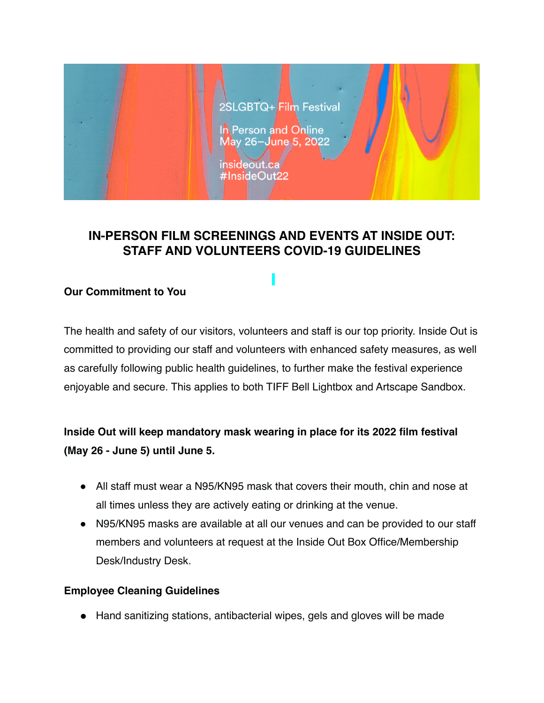

## **IN-PERSON FILM SCREENINGS AND EVENTS AT INSIDE OUT: STAFF AND VOLUNTEERS COVID-19 GUIDELINES**

### **Our Commitment to You**

The health and safety of our visitors, volunteers and staff is our top priority. Inside Out is committed to providing our staff and volunteers with enhanced safety measures, as well as carefully following public health guidelines, to further make the festival experience enjoyable and secure. This applies to both TIFF Bell Lightbox and Artscape Sandbox.

# **Inside Out will keep mandatory mask wearing in place for its 2022 film festival (May 26 - June 5) until June 5.**

- All staff must wear a N95/KN95 mask that covers their mouth, chin and nose at all times unless they are actively eating or drinking at the venue.
- N95/KN95 masks are available at all our venues and can be provided to our staff members and volunteers at request at the Inside Out Box Office/Membership Desk/Industry Desk.

### **Employee Cleaning Guidelines**

● Hand sanitizing stations, antibacterial wipes, gels and gloves will be made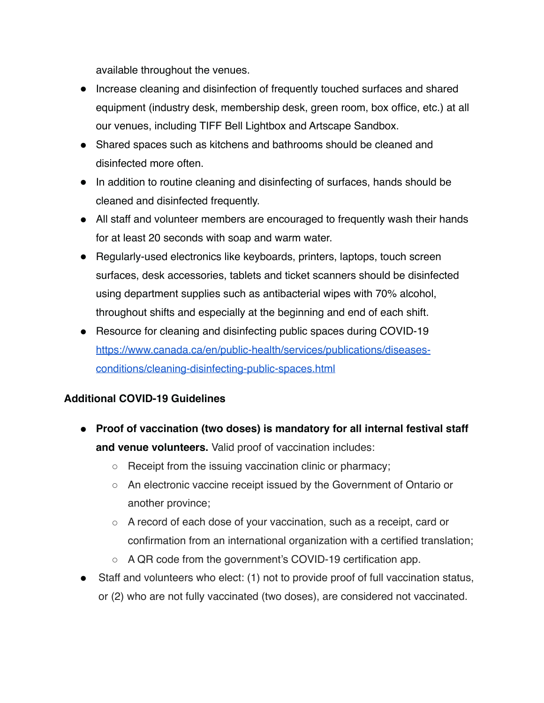available throughout the venues.

- Increase cleaning and disinfection of frequently touched surfaces and shared equipment (industry desk, membership desk, green room, box office, etc.) at all our venues, including TIFF Bell Lightbox and Artscape Sandbox.
- Shared spaces such as kitchens and bathrooms should be cleaned and disinfected more often.
- In addition to routine cleaning and disinfecting of surfaces, hands should be cleaned and disinfected frequently.
- All staff and volunteer members are encouraged to frequently wash their hands for at least 20 seconds with soap and warm water.
- Regularly-used electronics like keyboards, printers, laptops, touch screen surfaces, desk accessories, tablets and ticket scanners should be disinfected using department supplies such as antibacterial wipes with 70% alcohol, throughout shifts and especially at the beginning and end of each shift.
- Resource for cleaning and disinfecting public spaces during COVID-19 [https://www.canada.ca/en/public-health/services/publications/diseases](https://www.canada.ca/en/public-health/services/publications/diseases-conditions/cleaning-disinfecting-public-spaces.html)[conditions/cleaning-disinfecting-public-spaces.html](https://www.canada.ca/en/public-health/services/publications/diseases-conditions/cleaning-disinfecting-public-spaces.html)

### **Additional COVID-19 Guidelines**

- **Proof of vaccination (two doses) is mandatory for all internal festival staff and venue volunteers.** Valid proof of vaccination includes:
	- Receipt from the issuing vaccination clinic or pharmacy;
	- An electronic vaccine receipt issued by the Government of Ontario or another province;
	- A record of each dose of your vaccination, such as a receipt, card or confirmation from an international organization with a certified translation;
	- A QR code from the government's COVID-19 certification app.
- Staff and volunteers who elect: (1) not to provide proof of full vaccination status, or (2) who are not fully vaccinated (two doses), are considered not vaccinated.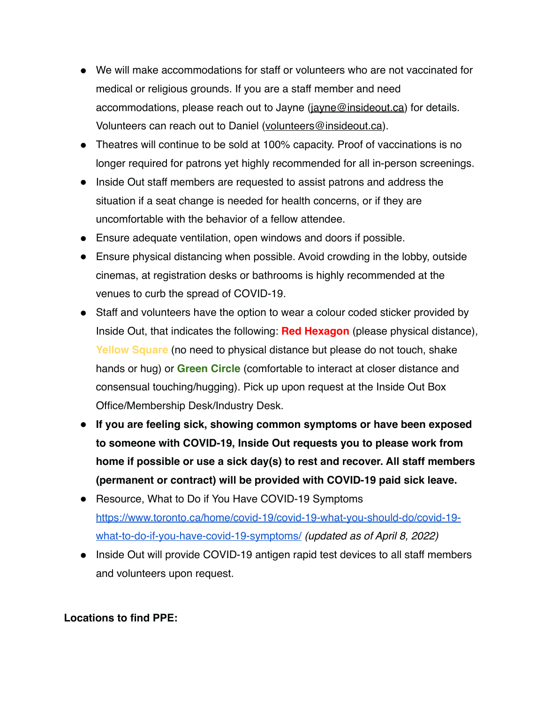- We will make accommodations for staff or volunteers who are not vaccinated for medical or religious grounds. If you are a staff member and need accommodations, please reach out to Jayne [\(jayne@insideout.ca](mailto:jayne@insideout.ca)) for details. Volunteers can reach out to Daniel ([volunteers@insideout.ca](mailto:volunteers@insideout.ca)).
- Theatres will continue to be sold at 100% capacity. Proof of vaccinations is no longer required for patrons yet highly recommended for all in-person screenings.
- Inside Out staff members are requested to assist patrons and address the situation if a seat change is needed for health concerns, or if they are uncomfortable with the behavior of a fellow attendee.
- Ensure adequate ventilation, open windows and doors if possible.
- Ensure physical distancing when possible. Avoid crowding in the lobby, outside cinemas, at registration desks or bathrooms is highly recommended at the venues to curb the spread of COVID-19.
- Staff and volunteers have the option to wear a colour coded sticker provided by Inside Out, that indicates the following: **Red Hexagon** (please physical distance), **Yellow Square** (no need to physical distance but please do not touch, shake hands or hug) or **Green Circle** (comfortable to interact at closer distance and consensual touching/hugging). Pick up upon request at the Inside Out Box Office/Membership Desk/Industry Desk.
- **If you are feeling sick, showing common symptoms or have been exposed to someone with COVID-19, Inside Out requests you to please work from home if possible or use a sick day(s) to rest and recover. All staff members (permanent or contract) will be provided with COVID-19 paid sick leave.**
- Resource, What to Do if You Have COVID-19 Symptoms [https://www.toronto.ca/home/covid-19/covid-19-what-you-should-do/covid-19](https://www.toronto.ca/home/covid-19/covid-19-what-you-should-do/covid-19-what-to-do-if-you-have-covid-19-symptoms/) [what-to-do-if-you-have-covid-19-symptoms/](https://www.toronto.ca/home/covid-19/covid-19-what-you-should-do/covid-19-what-to-do-if-you-have-covid-19-symptoms/) *(updated as of April 8, 2022)*
- Inside Out will provide COVID-19 antigen rapid test devices to all staff members and volunteers upon request.

### **Locations to find PPE:**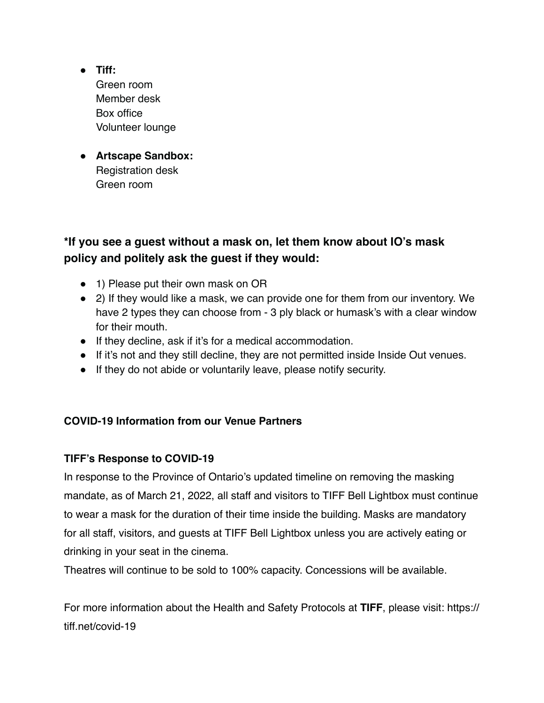- **● Tiff:** Green room Member desk Box office Volunteer lounge
- **● Artscape Sandbox:** Registration desk Green room

## **\*If you see a guest without a mask on, let them know about IO's mask policy and politely ask the guest if they would:**

- 1) Please put their own mask on OR
- 2) If they would like a mask, we can provide one for them from our inventory. We have 2 types they can choose from - 3 ply black or humask's with a clear window for their mouth.
- If they decline, ask if it's for a medical accommodation.
- If it's not and they still decline, they are not permitted inside Inside Out venues.
- If they do not abide or voluntarily leave, please notify security.

### **COVID-19 Information from our Venue Partners**

### **TIFF's Response to COVID-19**

In response to the Province of Ontario's updated timeline on removing the masking mandate, as of March 21, 2022, all staff and visitors to TIFF Bell Lightbox must continue to wear a mask for the duration of their time inside the building. Masks are mandatory for all staff, visitors, and guests at TIFF Bell Lightbox unless you are actively eating or drinking in your seat in the cinema.

Theatres will continue to be sold to 100% capacity. Concessions will be available.

For more information about the Health and Safety Protocols at **TIFF**, please visit: https:// tiff.net/covid-19